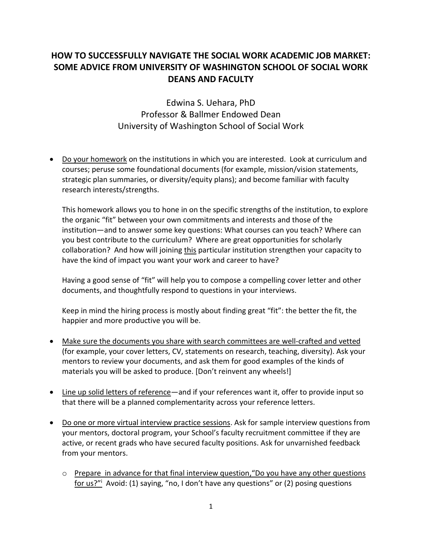## **HOW TO SUCCESSFULLY NAVIGATE THE SOCIAL WORK ACADEMIC JOB MARKET: SOME ADVICE FROM UNIVERSITY OF WASHINGTON SCHOOL OF SOCIAL WORK DEANS AND FACULTY**

Edwina S. Uehara, PhD Professor & Ballmer Endowed Dean University of Washington School of Social Work

• Do your homework on the institutions in which you are interested. Look at curriculum and courses; peruse some foundational documents (for example, mission/vision statements, strategic plan summaries, or diversity/equity plans); and become familiar with faculty research interests/strengths.

This homework allows you to hone in on the specific strengths of the institution, to explore the organic "fit" between your own commitments and interests and those of the institution—and to answer some key questions: What courses can you teach? Where can you best contribute to the curriculum? Where are great opportunities for scholarly collaboration? And how will joining this particular institution strengthen your capacity to have the kind of impact you want your work and career to have?

Having a good sense of "fit" will help you to compose a compelling cover letter and other documents, and thoughtfully respond to questions in your interviews.

Keep in mind the hiring process is mostly about finding great "fit": the better the fit, the happier and more productive you will be.

- Make sure the documents you share with search committees are well-crafted and vetted (for example, your cover letters, CV, statements on research, teaching, diversity). Ask your mentors to review your documents, and ask them for good examples of the kinds of materials you will be asked to produce. [Don't reinvent any wheels!]
- Line up solid letters of reference—and if your references want it, offer to provide input so that there will be a planned complementarity across your reference letters.
- Do one or more virtual interview practice sessions. Ask for sample interview questions from your mentors, doctoral program, your School's faculty recruitment committee if they are active, or recent grads who have secured faculty positions. Ask for unvarnished feedback from your mentors.
	- o Prepare in advance for that final interview question,"Do you have any other questions for us?"<sup>i</sup> Avoid: (1) saying, "no, I don't have any questions" or (2) posing questions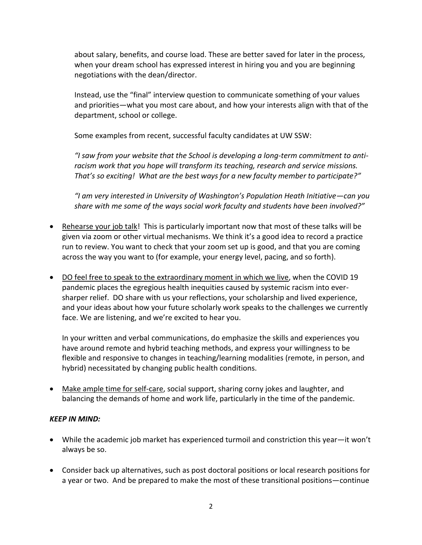about salary, benefits, and course load. These are better saved for later in the process, when your dream school has expressed interest in hiring you and you are beginning negotiations with the dean/director.

Instead, use the "final" interview question to communicate something of your values and priorities—what you most care about, and how your interests align with that of the department, school or college.

Some examples from recent, successful faculty candidates at UW SSW:

*"I saw from your website that the School is developing a long-term commitment to antiracism work that you hope will transform its teaching, research and service missions. That's so exciting! What are the best ways for a new faculty member to participate?"*

*"I am very interested in University of Washington's Population Heath Initiative—can you share with me some of the ways social work faculty and students have been involved?"*

- Rehearse your job talk! This is particularly important now that most of these talks will be given via zoom or other virtual mechanisms. We think it's a good idea to record a practice run to review. You want to check that your zoom set up is good, and that you are coming across the way you want to (for example, your energy level, pacing, and so forth).
- DO feel free to speak to the extraordinary moment in which we live, when the COVID 19 pandemic places the egregious health inequities caused by systemic racism into eversharper relief. DO share with us your reflections, your scholarship and lived experience, and your ideas about how your future scholarly work speaks to the challenges we currently face. We are listening, and we're excited to hear you.

In your written and verbal communications, do emphasize the skills and experiences you have around remote and hybrid teaching methods, and express your willingness to be flexible and responsive to changes in teaching/learning modalities (remote, in person, and hybrid) necessitated by changing public health conditions.

• Make ample time for self-care, social support, sharing corny jokes and laughter, and balancing the demands of home and work life, particularly in the time of the pandemic.

## *KEEP IN MIND:*

- While the academic job market has experienced turmoil and constriction this year—it won't always be so.
- Consider back up alternatives, such as post doctoral positions or local research positions for a year or two. And be prepared to make the most of these transitional positions—continue